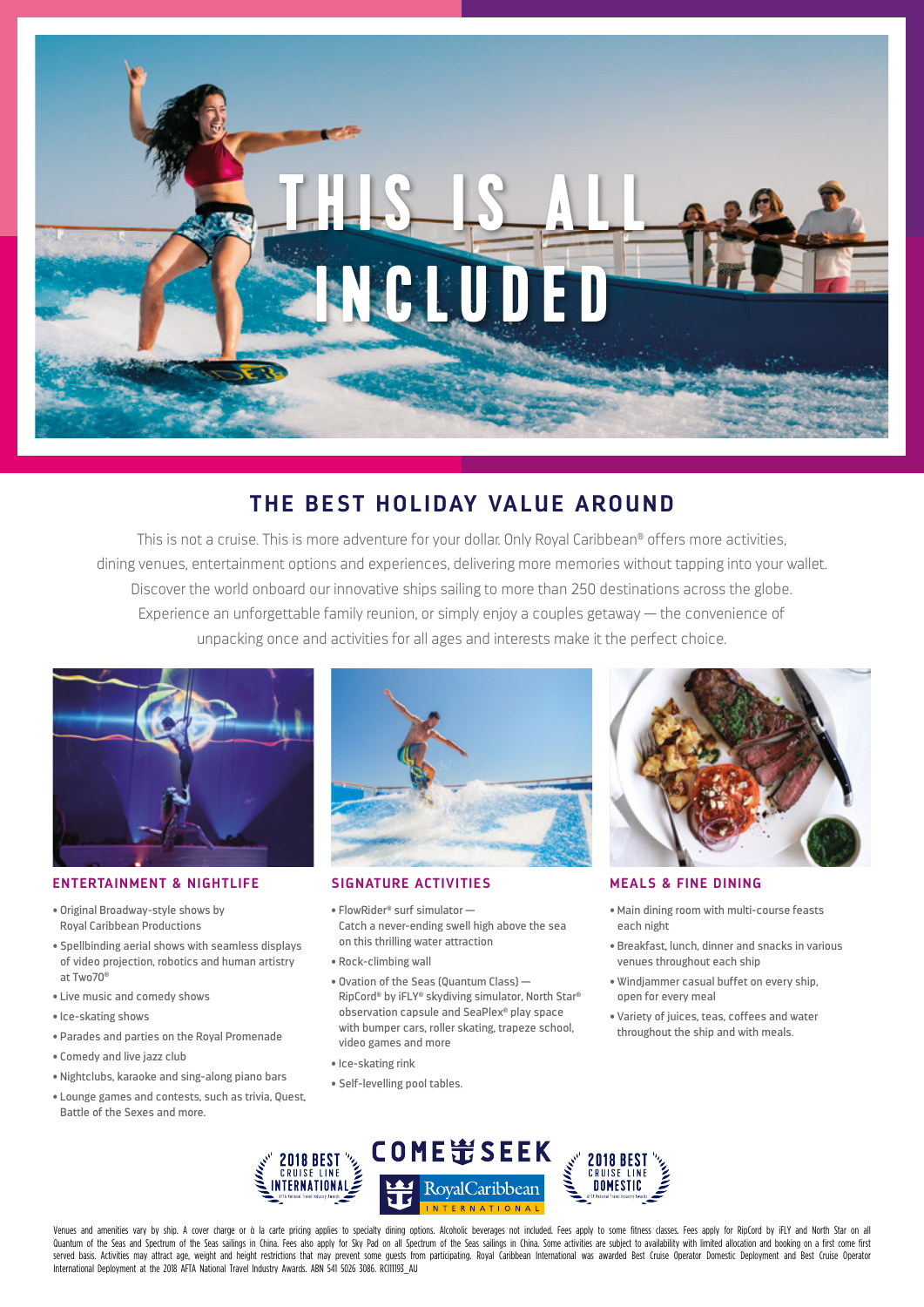

# **THE BEST HOLIDAY VALUE AROUND**

This is not a cruise. This is more adventure for your dollar. Only Royal Caribbean® offers more activities, dining venues, entertainment options and experiences, delivering more memories without tapping into your wallet. Discover the world onboard our innovative ships sailing to more than 250 destinations across the globe. Experience an unforgettable family reunion, or simply enjoy a couples getaway — the convenience of unpacking once and activities for all ages and interests make it the perfect choice.



### **ENTERTAINMENT & NIGHTLIFE SIGNATURE ACTIVITIES MEALS & FINE DINING**

- Original Broadway-style shows by Royal Caribbean Productions
- Spellbinding aerial shows with seamless displays of video projection, robotics and human artistry at Two70®
- Live music and comedy shows
- Ice-skating shows
- Parades and parties on the Royal Promenade
- Comedy and live jazz club
- Nightclubs, karaoke and sing-along piano bars
- Lounge games and contests, such as trivia, Quest, Battle of the Sexes and more.



- FlowRider® surf simulator Catch a never-ending swell high above the sea on this thrilling water attraction
- Rock-climbing wall
- Ovation of the Seas (Quantum Class) RipCord® by iFLY® skydiving simulator, North Star® observation capsule and SeaPlex® play space with bumper cars, roller skating, trapeze school, video games and more
- Ice-skating rink
- Self-levelling pool tables.



- Main dining room with multi-course feasts each night
- Breakfast, lunch, dinner and snacks in various venues throughout each ship
- Windjammer casual buffet on every ship, open for every meal
- Variety of juices, teas, coffees and water throughout the ship and with meals.



Venues and amenities vary by ship. A cover charge or à la carte pricing applies to specialty dining options. Alcoholic beverages not included. Fees apply to some fitness classes. Fees apply for RipCord by iFLY and North St Quantum of the Seas and Spectrum of the Seas sailings in China. Fees also apply for Sky Pad on all Spectrum of the Seas sailings in China. Some activities are subject to availability with limited allocation and booking on served basis. Activities may attract age, weight and height restrictions that may prevent some quests from participating. Royal Caribbean International was awarded Best Cruise Operator Domestic Deployment and Best Cruise O International Deployment at the 2018 AFTA National Travel Industry Awards. ABN 541 5026 3086. RCI11193\_AU